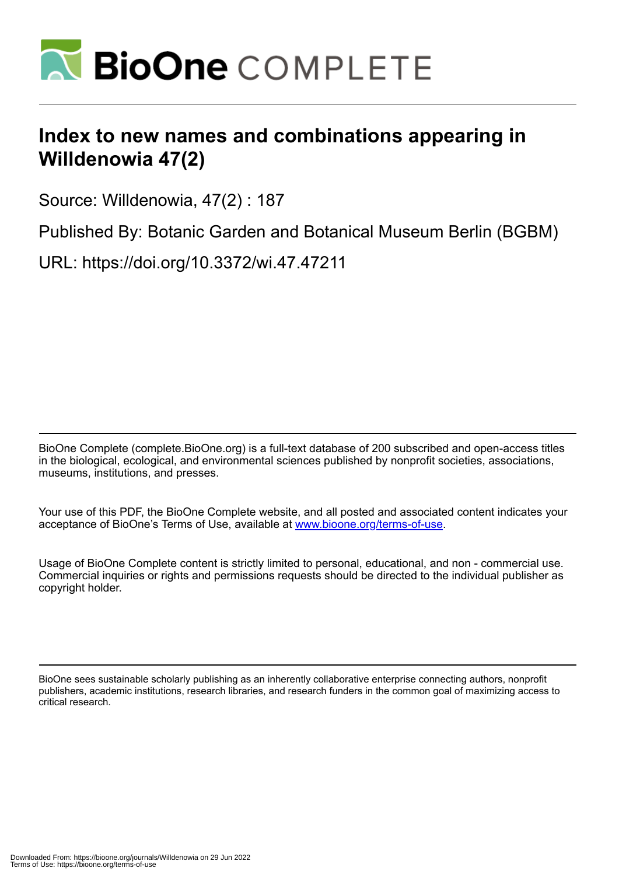

## **Index to new names and combinations appearing in Willdenowia 47(2)**

Source: Willdenowia, 47(2) : 187

Published By: Botanic Garden and Botanical Museum Berlin (BGBM)

URL: https://doi.org/10.3372/wi.47.47211

BioOne Complete (complete.BioOne.org) is a full-text database of 200 subscribed and open-access titles in the biological, ecological, and environmental sciences published by nonprofit societies, associations, museums, institutions, and presses.

Your use of this PDF, the BioOne Complete website, and all posted and associated content indicates your acceptance of BioOne's Terms of Use, available at www.bioone.org/terms-of-use.

Usage of BioOne Complete content is strictly limited to personal, educational, and non - commercial use. Commercial inquiries or rights and permissions requests should be directed to the individual publisher as copyright holder.

BioOne sees sustainable scholarly publishing as an inherently collaborative enterprise connecting authors, nonprofit publishers, academic institutions, research libraries, and research funders in the common goal of maximizing access to critical research.